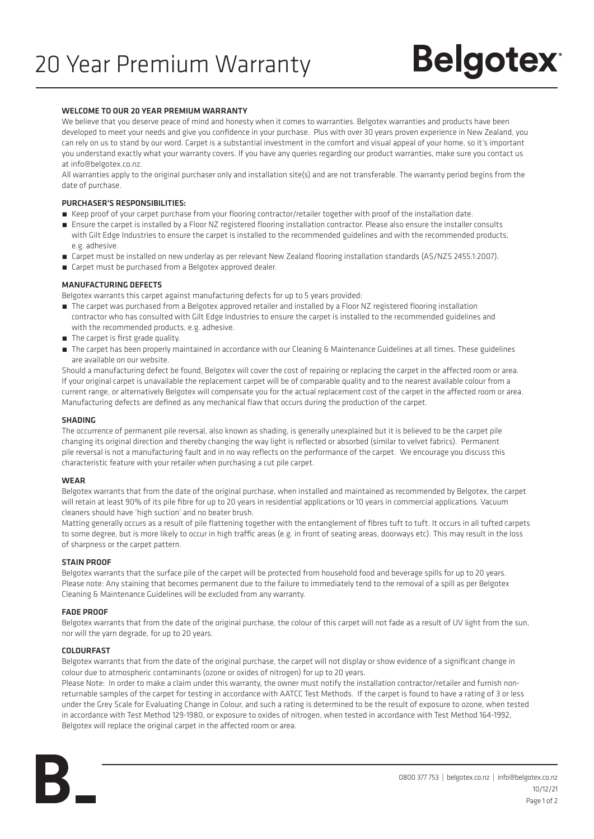# **Belgotex**

# WELCOME TO OUR 20 YEAR PREMIUM WARRANTY

We believe that you deserve peace of mind and honesty when it comes to warranties. Belgotex warranties and products have been developed to meet your needs and give you confidence in your purchase. Plus with over 30 years proven experience in New Zealand, you can rely on us to stand by our word. Carpet is a substantial investment in the comfort and visual appeal of your home, so it's important you understand exactly what your warranty covers. If you have any queries regarding our product warranties, make sure you contact us at info@belgotex.co.nz.

All warranties apply to the original purchaser only and installation site(s) and are not transferable. The warranty period begins from the date of purchase.

# PURCHASER'S RESPONSIBILITIES:

- Keep proof of your carpet purchase from your flooring contractor/retailer together with proof of the installation date.
- Ensure the carpet is installed by a Floor NZ registered flooring installation contractor. Please also ensure the installer consults with Gilt Edge Industries to ensure the carpet is installed to the recommended guidelines and with the recommended products, e.g. adhesive.
- Carpet must be installed on new underlay as per relevant New Zealand flooring installation standards (AS/NZS 2455.1:2007).
- Carpet must be purchased from a Belgotex approved dealer.

# MANUFACTURING DEFECTS

Belgotex warrants this carpet against manufacturing defects for up to 5 years provided:

- The carpet was purchased from a Belgotex approved retailer and installed by a Floor NZ registered flooring installation contractor who has consulted with Gilt Edge Industries to ensure the carpet is installed to the recommended guidelines and with the recommended products, e.g. adhesive.
- **The carpet is first grade quality.**
- The carpet has been properly maintained in accordance with our Cleaning & Maintenance Guidelines at all times. These guidelines are available on our website.

Should a manufacturing defect be found, Belgotex will cover the cost of repairing or replacing the carpet in the affected room or area. If your original carpet is unavailable the replacement carpet will be of comparable quality and to the nearest available colour from a current range, or alternatively Belgotex will compensate you for the actual replacement cost of the carpet in the affected room or area. Manufacturing defects are defined as any mechanical flaw that occurs during the production of the carpet.

#### SHADING

The occurrence of permanent pile reversal, also known as shading, is generally unexplained but it is believed to be the carpet pile changing its original direction and thereby changing the way light is reflected or absorbed (similar to velvet fabrics). Permanent pile reversal is not a manufacturing fault and in no way reflects on the performance of the carpet. We encourage you discuss this characteristic feature with your retailer when purchasing a cut pile carpet.

#### **WFAR**

Belgotex warrants that from the date of the original purchase, when installed and maintained as recommended by Belgotex, the carpet will retain at least 90% of its pile fibre for up to 20 years in residential applications or 10 years in commercial applications. Vacuum cleaners should have 'high suction' and no beater brush.

Matting generally occurs as a result of pile flattening together with the entanglement of fibres tuft to tuft. It occurs in all tufted carpets to some degree, but is more likely to occur in high traffic areas (e.g. in front of seating areas, doorways etc). This may result in the loss of sharpness or the carpet pattern.

# STAIN PROOF

Belgotex warrants that the surface pile of the carpet will be protected from household food and beverage spills for up to 20 years. Please note: Any staining that becomes permanent due to the failure to immediately tend to the removal of a spill as per Belgotex Cleaning & Maintenance Guidelines will be excluded from any warranty.

#### FADE PROOF

Belgotex warrants that from the date of the original purchase, the colour of this carpet will not fade as a result of UV light from the sun, nor will the yarn degrade, for up to 20 years.

#### COLOURFAST

Belgotex warrants that from the date of the original purchase, the carpet will not display or show evidence of a significant change in colour due to atmospheric contaminants (ozone or oxides of nitrogen) for up to 20 years.

Please Note: In order to make a claim under this warranty, the owner must notify the installation contractor/retailer and furnish nonreturnable samples of the carpet for testing in accordance with AATCC Test Methods. If the carpet is found to have a rating of 3 or less under the Grey Scale for Evaluating Change in Colour, and such a rating is determined to be the result of exposure to ozone, when tested in accordance with Test Method 129-1980, or exposure to oxides of nitrogen, when tested in accordance with Test Method 164-1992, Belgotex will replace the original carpet in the affected room or area.